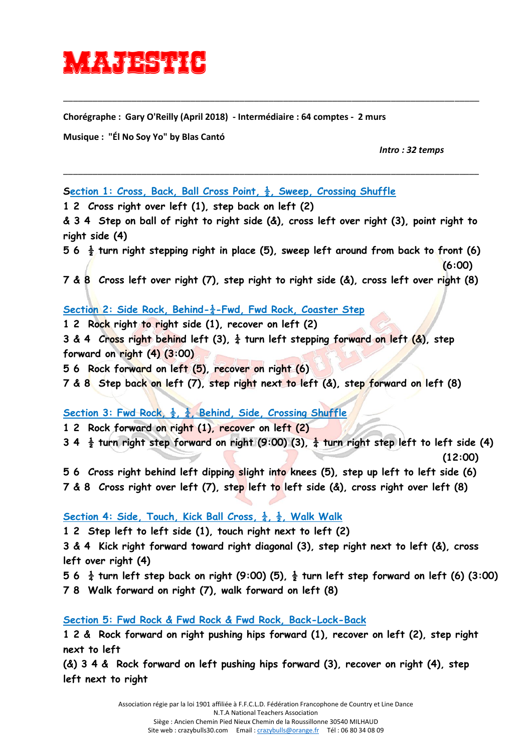## **majestika**

**Chorégraphe : Gary O'Reilly (April 2018) - Intermédiaire : 64 comptes - 2 murs**

**Musique : "Él No Soy Yo" by Blas Cantó**

*Intro : 32 temps*

**Section 1: Cross, Back, Ball Cross Point,**  $\frac{1}{2}$ **, Sweep, Crossing Shuffle** 

**1 2 Cross right over left (1), step back on left (2)** 

**& 3 4 Step on ball of right to right side (&), cross left over right (3), point right to right side (4)** 

\_\_\_\_\_\_\_\_\_\_\_\_\_\_\_\_\_\_\_\_\_\_\_\_\_\_\_\_\_\_\_\_\_\_\_\_\_\_\_\_\_\_\_\_\_\_\_\_\_\_\_\_\_\_\_\_\_\_\_\_\_\_\_\_\_\_\_\_\_\_\_\_\_\_\_\_\_\_\_\_\_\_\_\_\_

\_\_\_\_\_\_\_\_\_\_\_\_\_\_\_\_\_\_\_\_\_\_\_\_\_\_\_\_\_\_\_\_\_\_\_\_\_\_\_\_\_\_\_\_\_\_\_\_\_\_\_\_\_\_\_\_\_\_\_\_\_\_\_\_\_\_\_\_\_\_\_\_\_\_\_\_\_\_\_\_\_\_\_\_\_

**5 6 ½ turn right stepping right in place (5), sweep left around from back to front (6) (6:00)** 

**7 & 8 Cross left over right (7), step right to right side (&), cross left over right (8)**

## Section 2: Side Rock, Behind- $\frac{1}{4}$ -Fwd, Fwd Rock, Coaster Step

**1 2 Rock right to right side (1), recover on left (2)** 

**3 & 4 Cross right behind left (3),**  $\frac{1}{4}$  **turn left stepping forward on left (&), step forward on right (4) (3:00)** 

**5 6 Rock forward on left (5), recover on right (6)** 

**7 & 8 Step back on left (7), step right next to left (&), step forward on left (8)** 

Section 3: Fwd Rock,  $\frac{1}{2}$ ,  $\frac{1}{4}$ , Behind, Side, Crossing Shuffle

**1 2 Rock forward on right (1), recover on left (2)** 

3 4  $\frac{1}{2}$  turn right step forward on right (9:00) (3),  $\frac{1}{4}$  turn right step left to left side (4) **(12:00)** 

**5 6 Cross right behind left dipping slight into knees (5), step up left to left side (6)** 

**7 & 8 Cross right over left (7), step left to left side (&), cross right over left (8)** 

**Section 4: Side, Touch, Kick Ball Cross,**  $\frac{1}{4}$ **,**  $\frac{1}{2}$ **, Walk Walk** 

**1 2 Step left to left side (1), touch right next to left (2)** 

**3 & 4 Kick right forward toward right diagonal (3), step right next to left (&), cross left over right (4)** 

5 6  $\frac{1}{4}$  turn left step back on right (9:00) (5),  $\frac{1}{2}$  turn left step forward on left (6) (3:00)

**7 8 Walk forward on right (7), walk forward on left (8)** 

**Section 5: Fwd Rock & Fwd Rock & Fwd Rock, Back-Lock-Back**

**1 2 & Rock forward on right pushing hips forward (1), recover on left (2), step right next to left** 

**(&) 3 4 & Rock forward on left pushing hips forward (3), recover on right (4), step left next to right**